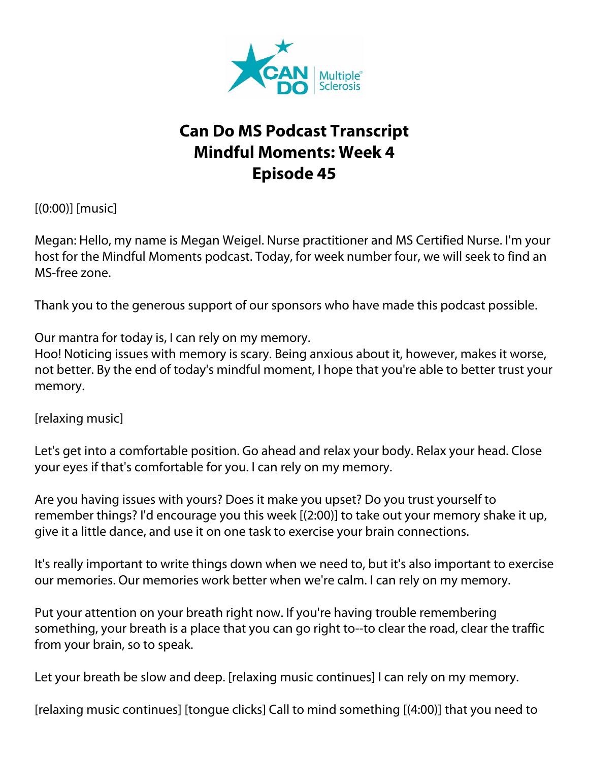

## **Can Do MS Podcast Transcript Mindful Moments: Week 4 Episode 45**

[(0:00)] [music]

Megan: Hello, my name is Megan Weigel. Nurse practitioner and MS Certified Nurse. I'm your host for the Mindful Moments podcast. Today, for week number four, we will seek to find an MS-free zone.

Thank you to the generous support of our sponsors who have made this podcast possible.

Our mantra for today is, I can rely on my memory.

Hoo! Noticing issues with memory is scary. Being anxious about it, however, makes it worse, not better. By the end of today's mindful moment, I hope that you're able to better trust your memory.

[relaxing music]

Let's get into a comfortable position. Go ahead and relax your body. Relax your head. Close your eyes if that's comfortable for you. I can rely on my memory.

Are you having issues with yours? Does it make you upset? Do you trust yourself to remember things? I'd encourage you this week [(2:00)] to take out your memory shake it up, give it a little dance, and use it on one task to exercise your brain connections.

It's really important to write things down when we need to, but it's also important to exercise our memories. Our memories work better when we're calm. I can rely on my memory.

Put your attention on your breath right now. If you're having trouble remembering something, your breath is a place that you can go right to--to clear the road, clear the traffic from your brain, so to speak.

Let your breath be slow and deep. [relaxing music continues] I can rely on my memory.

[relaxing music continues] [tongue clicks] Call to mind something [(4:00)] that you need to